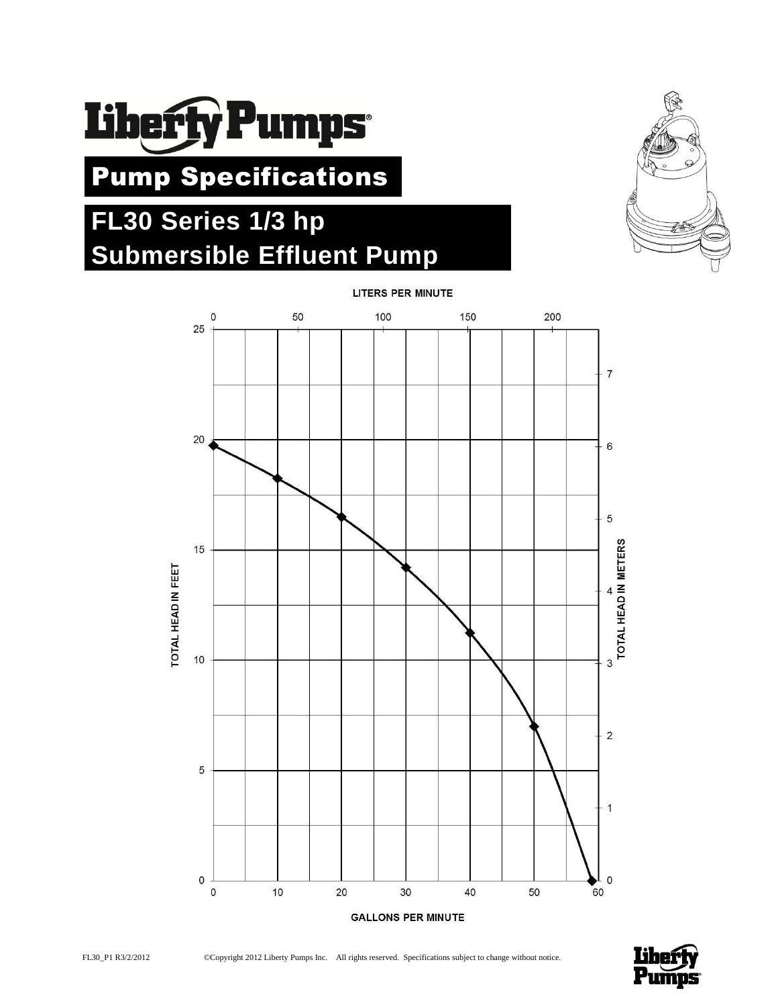

Pump Specifications

# **FL30 Series 1/3 hp Submersible Effluent Pump**









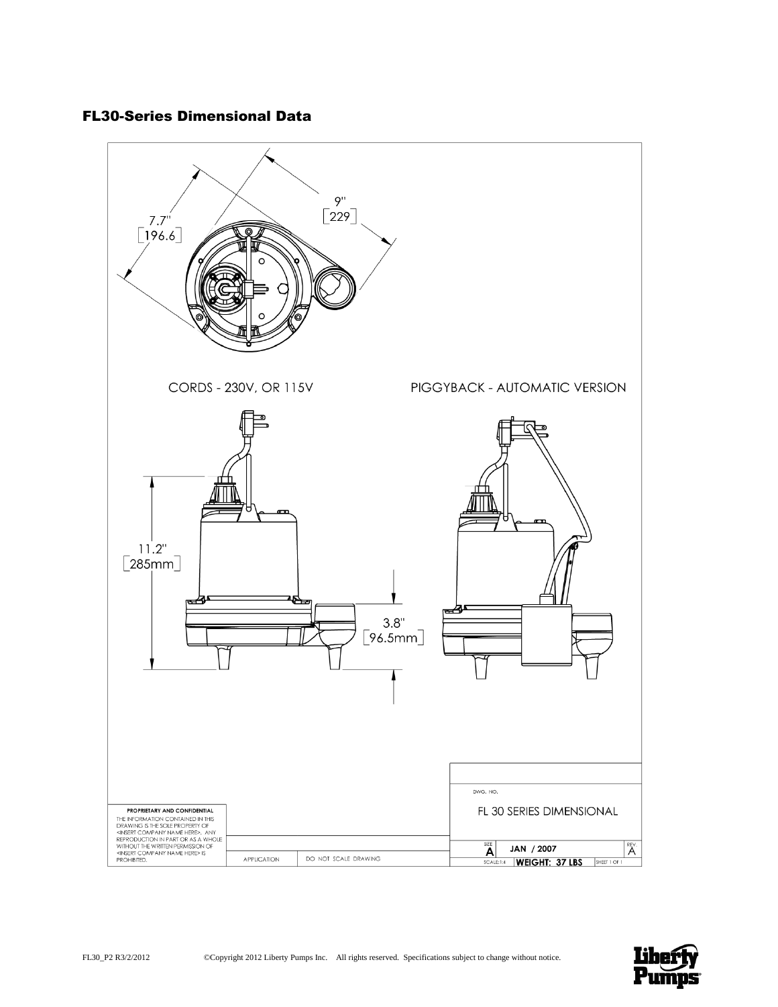# FL30-Series Dimensional Data



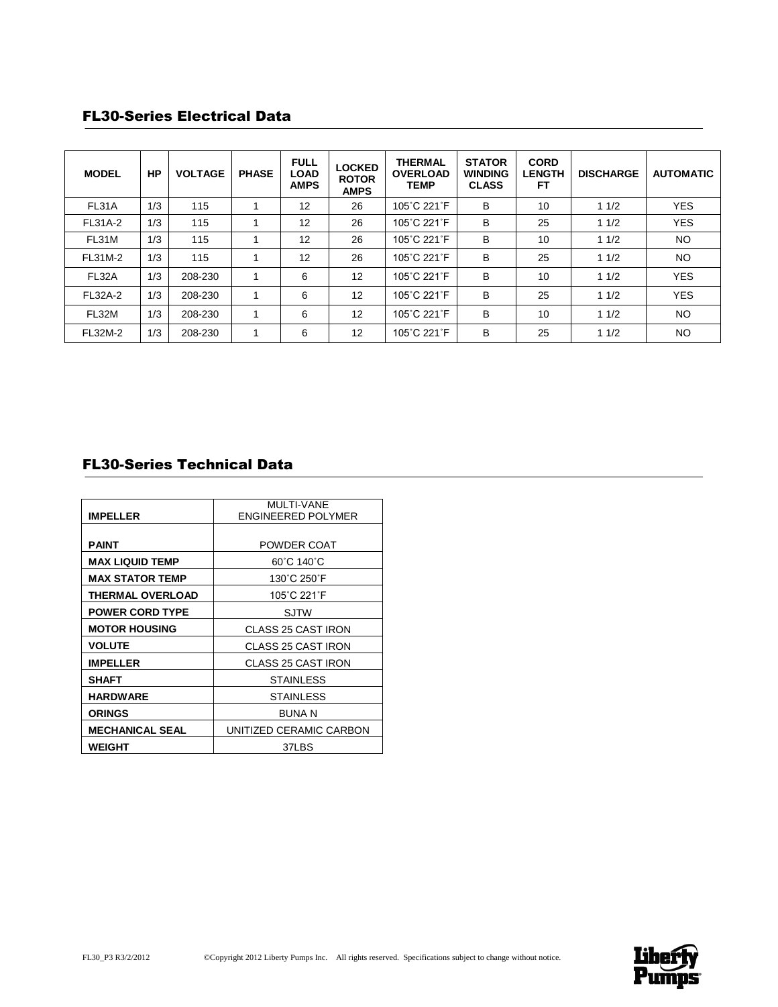## FL30-Series Electrical Data

| <b>MODEL</b>   | НP  | <b>VOLTAGE</b> | <b>PHASE</b> | <b>FULL</b><br><b>LOAD</b><br><b>AMPS</b> | <b>LOCKED</b><br><b>ROTOR</b><br><b>AMPS</b> | <b>THERMAL</b><br><b>OVERLOAD</b><br><b>TEMP</b> | <b>STATOR</b><br><b>WINDING</b><br><b>CLASS</b> | <b>CORD</b><br><b>LENGTH</b><br>FТ | <b>DISCHARGE</b> | <b>AUTOMATIC</b> |
|----------------|-----|----------------|--------------|-------------------------------------------|----------------------------------------------|--------------------------------------------------|-------------------------------------------------|------------------------------------|------------------|------------------|
| FL31A          | 1/3 | 115            |              | 12                                        | 26                                           | 105°C 221°F                                      | в                                               | 10                                 | 11/2             | <b>YES</b>       |
| FL31A-2        | 1/3 | 115            |              | $12 \overline{ }$                         | 26                                           | 105°C 221°F                                      | В                                               | 25                                 | 11/2             | <b>YES</b>       |
| FL31M          | 1/3 | 115            |              | 12                                        | 26                                           | 105°C 221°F                                      | B                                               | 10                                 | 11/2             | <b>NO</b>        |
| FL31M-2        | 1/3 | 115            |              | 12                                        | 26                                           | 105°C 221°F                                      | В                                               | 25                                 | 11/2             | <b>NO</b>        |
| FL32A          | 1/3 | 208-230        |              | 6                                         | 12                                           | 105°C 221°F                                      | В                                               | 10                                 | 11/2             | <b>YES</b>       |
| <b>FL32A-2</b> | 1/3 | 208-230        |              | 6                                         | 12                                           | 105°C 221°F                                      | в                                               | 25                                 | 11/2             | <b>YES</b>       |
| FL32M          | 1/3 | 208-230        |              | 6                                         | 12                                           | 105°C 221°F                                      | В                                               | 10                                 | 11/2             | <b>NO</b>        |
| FL32M-2        | 1/3 | 208-230        |              | 6                                         | 12                                           | 105°C 221°F                                      | в                                               | 25                                 | 11/2             | <b>NO</b>        |

# FL30-Series Technical Data

|                         | <b>MULTI-VANE</b>         |
|-------------------------|---------------------------|
| <b>IMPELLER</b>         | <b>ENGINEERED POLYMER</b> |
|                         |                           |
| <b>PAINT</b>            | POWDER COAT               |
| <b>MAX LIQUID TEMP</b>  | 60°C 140°C                |
| <b>MAX STATOR TEMP</b>  | 130°C 250°F               |
| <b>THERMAL OVERLOAD</b> | 105°C 221°F               |
| <b>POWER CORD TYPE</b>  | <b>SJTW</b>               |
| <b>MOTOR HOUSING</b>    | <b>CLASS 25 CAST IRON</b> |
| <b>VOLUTE</b>           | CLASS 25 CAST IRON        |
| <b>IMPELLER</b>         | <b>CLASS 25 CAST IRON</b> |
| <b>SHAFT</b>            | <b>STAINLESS</b>          |
| <b>HARDWARE</b>         | <b>STAINLESS</b>          |
| <b>ORINGS</b>           | BUNA N                    |
| <b>MECHANICAL SEAL</b>  | UNITIZED CERAMIC CARBON   |
| WEIGHT                  | 37LBS                     |

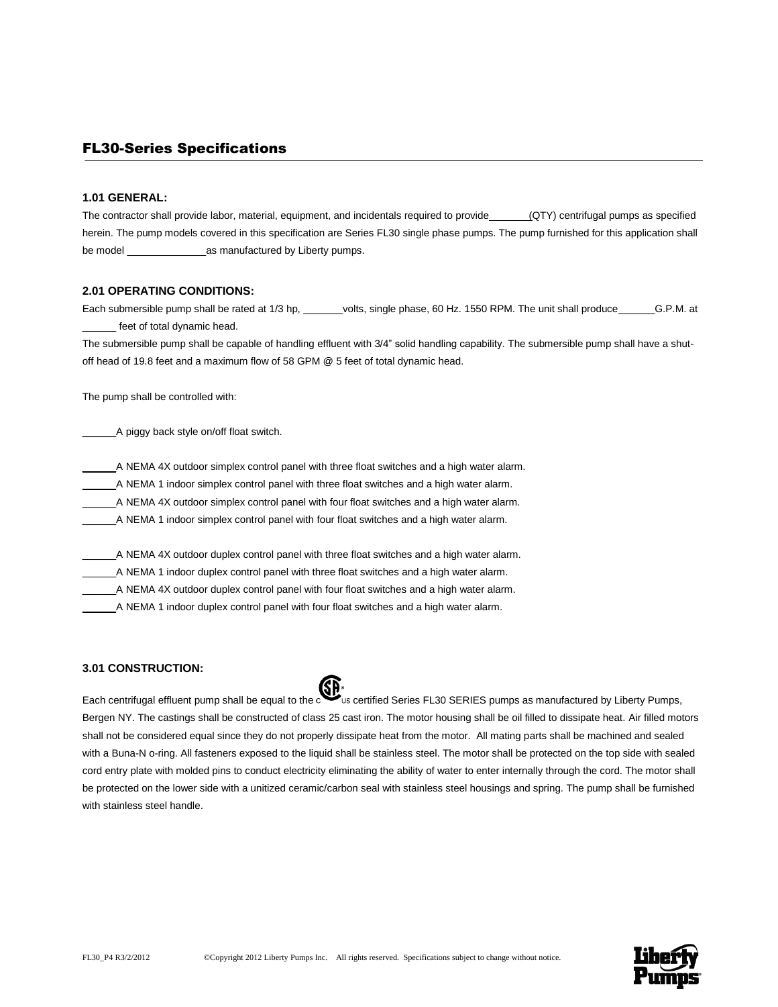### FL30-Series Specifications

#### **1.01 GENERAL:**

The contractor shall provide labor, material, equipment, and incidentals required to provide (QTY) centrifugal pumps as specified herein. The pump models covered in this specification are Series FL30 single phase pumps. The pump furnished for this application shall be model \_\_\_\_\_\_\_\_\_\_\_\_\_\_as manufactured by Liberty pumps.

#### **2.01 OPERATING CONDITIONS:**

Each submersible pump shall be rated at 1/3 hp, \_\_\_\_\_\_volts, single phase, 60 Hz. 1550 RPM. The unit shall produce \_\_\_\_\_\_\_G.P.M. at feet of total dynamic head.

The submersible pump shall be capable of handling effluent with 3/4" solid handling capability. The submersible pump shall have a shutoff head of 19.8 feet and a maximum flow of 58 GPM @ 5 feet of total dynamic head.

The pump shall be controlled with:

\_\_\_\_\_\_A piggy back style on/off float switch.

A NEMA 4X outdoor simplex control panel with three float switches and a high water alarm.

\_\_\_\_\_\_A NEMA 1 indoor simplex control panel with three float switches and a high water alarm.

\_\_\_\_\_\_A NEMA 4X outdoor simplex control panel with four float switches and a high water alarm.

\_\_\_\_\_\_A NEMA 1 indoor simplex control panel with four float switches and a high water alarm.

A NEMA 4X outdoor duplex control panel with three float switches and a high water alarm.

\_\_\_\_\_\_A NEMA 1 indoor duplex control panel with three float switches and a high water alarm.

\_\_\_\_\_\_A NEMA 4X outdoor duplex control panel with four float switches and a high water alarm.

\_\_\_\_\_\_A NEMA 1 indoor duplex control panel with four float switches and a high water alarm.

#### **3.01 CONSTRUCTION:**

Each centrifugal effluent pump shall be equal to the certified Series FL30 SERIES pumps as manufactured by Liberty Pumps, Bergen NY. The castings shall be constructed of class 25 cast iron. The motor housing shall be oil filled to dissipate heat. Air filled motors shall not be considered equal since they do not properly dissipate heat from the motor. All mating parts shall be machined and sealed with a Buna-N o-ring. All fasteners exposed to the liquid shall be stainless steel. The motor shall be protected on the top side with sealed cord entry plate with molded pins to conduct electricity eliminating the ability of water to enter internally through the cord. The motor shall be protected on the lower side with a unitized ceramic/carbon seal with stainless steel housings and spring. The pump shall be furnished with stainless steel handle.

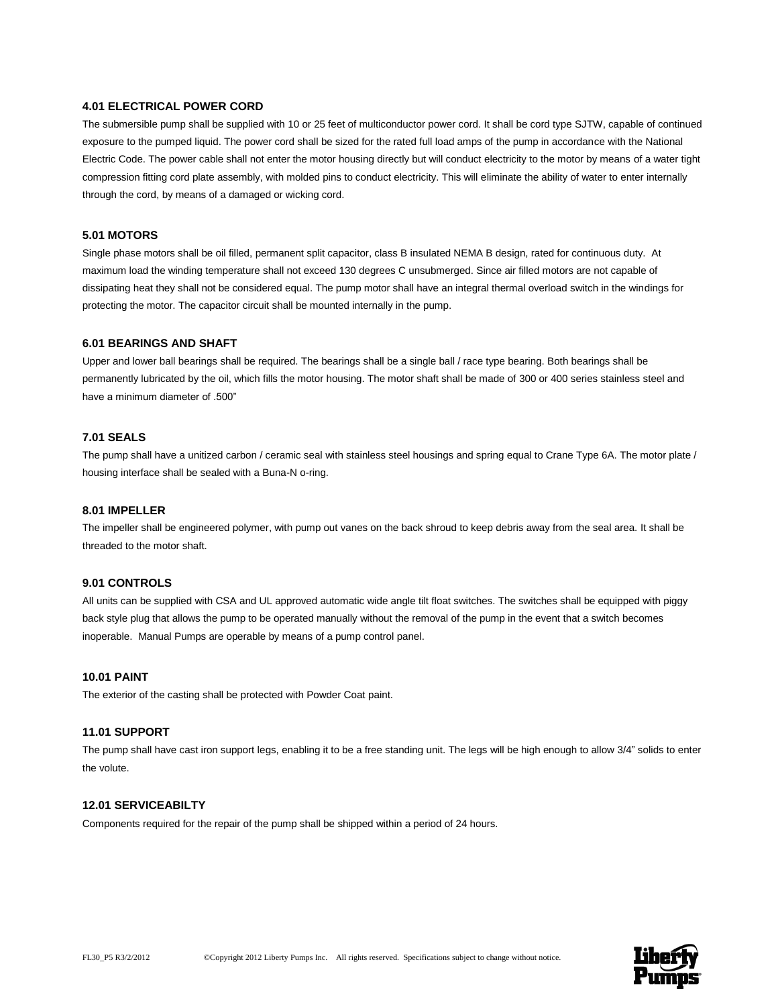#### **4.01 ELECTRICAL POWER CORD**

The submersible pump shall be supplied with 10 or 25 feet of multiconductor power cord. It shall be cord type SJTW, capable of continued exposure to the pumped liquid. The power cord shall be sized for the rated full load amps of the pump in accordance with the National Electric Code. The power cable shall not enter the motor housing directly but will conduct electricity to the motor by means of a water tight compression fitting cord plate assembly, with molded pins to conduct electricity. This will eliminate the ability of water to enter internally through the cord, by means of a damaged or wicking cord.

#### **5.01 MOTORS**

Single phase motors shall be oil filled, permanent split capacitor, class B insulated NEMA B design, rated for continuous duty. At maximum load the winding temperature shall not exceed 130 degrees C unsubmerged. Since air filled motors are not capable of dissipating heat they shall not be considered equal. The pump motor shall have an integral thermal overload switch in the windings for protecting the motor. The capacitor circuit shall be mounted internally in the pump.

#### **6.01 BEARINGS AND SHAFT**

Upper and lower ball bearings shall be required. The bearings shall be a single ball / race type bearing. Both bearings shall be permanently lubricated by the oil, which fills the motor housing. The motor shaft shall be made of 300 or 400 series stainless steel and have a minimum diameter of .500"

#### **7.01 SEALS**

The pump shall have a unitized carbon / ceramic seal with stainless steel housings and spring equal to Crane Type 6A. The motor plate / housing interface shall be sealed with a Buna-N o-ring.

#### **8.01 IMPELLER**

The impeller shall be engineered polymer, with pump out vanes on the back shroud to keep debris away from the seal area. It shall be threaded to the motor shaft.

#### **9.01 CONTROLS**

All units can be supplied with CSA and UL approved automatic wide angle tilt float switches. The switches shall be equipped with piggy back style plug that allows the pump to be operated manually without the removal of the pump in the event that a switch becomes inoperable. Manual Pumps are operable by means of a pump control panel.

#### **10.01 PAINT**

The exterior of the casting shall be protected with Powder Coat paint.

#### **11.01 SUPPORT**

The pump shall have cast iron support legs, enabling it to be a free standing unit. The legs will be high enough to allow 3/4" solids to enter the volute.

#### **12.01 SERVICEABILTY**

Components required for the repair of the pump shall be shipped within a period of 24 hours.